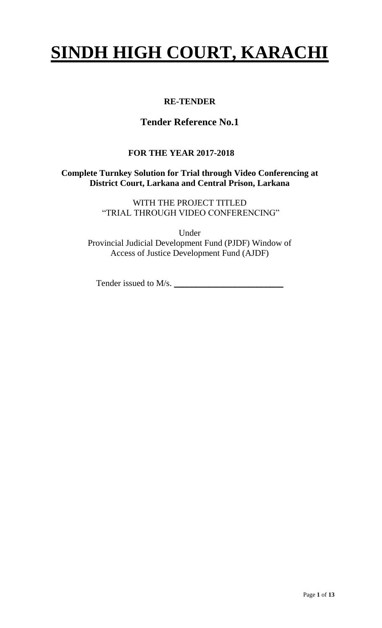# **SINDH HIGH COURT, KARACHI**

# **RE-TENDER**

# **Tender Reference No.1**

# **FOR THE YEAR 2017-2018**

#### **Complete Turnkey Solution for Trial through Video Conferencing at District Court, Larkana and Central Prison, Larkana**

WITH THE PROJECT TITLED "TRIAL THROUGH VIDEO CONFERENCING"

Under Provincial Judicial Development Fund (PJDF) Window of Access of Justice Development Fund (AJDF)

Tender issued to M/s. \_\_\_\_\_\_\_\_\_\_\_\_\_\_\_\_\_\_\_\_\_\_\_\_\_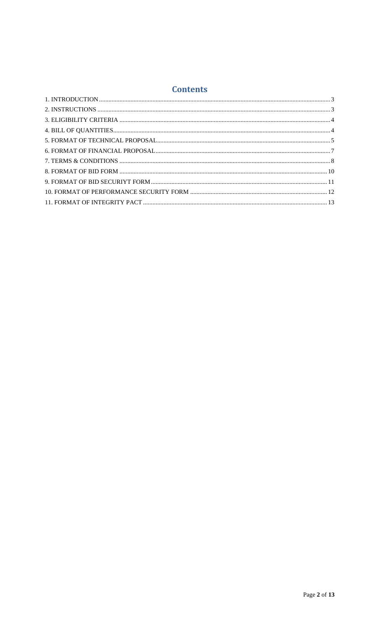#### **Contents**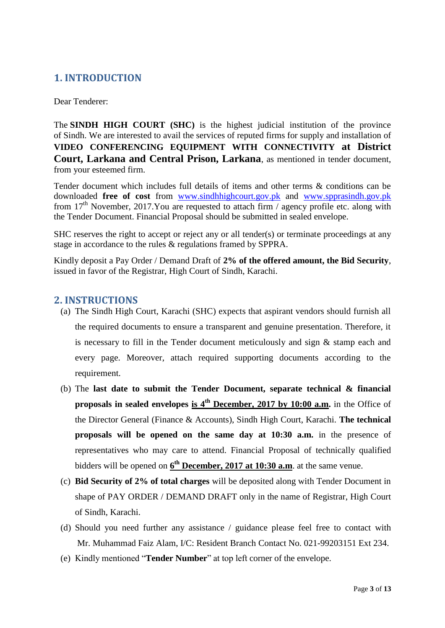#### **1. INTRODUCTION**

Dear Tenderer:

The **SINDH HIGH COURT (SHC)** is the highest judicial institution of the province of [Sindh.](https://en.wikipedia.org/wiki/Sindh) We are interested to avail the services of reputed firms for supply and installation of **VIDEO CONFERENCING EQUIPMENT WITH CONNECTIVITY at District Court, Larkana and Central Prison, Larkana**, as mentioned in tender document, from your esteemed firm.

<span id="page-2-0"></span>Tender document which includes full details of items and other terms & conditions can be downloaded **free of cost** from [www.sindhhighcourt.gov.pk](http://www.sindhhighcourt.gov.pk/) and [www.spprasindh.gov.pk](http://www.spprasindh.gov.pk/) from 17<sup>th</sup> November, 2017. You are requested to attach firm / agency profile etc. along with the Tender Document. Financial Proposal should be submitted in sealed envelope.

SHC reserves the right to accept or reject any or all tender(s) or terminate proceedings at any stage in accordance to the rules & regulations framed by SPPRA.

Kindly deposit a Pay Order / Demand Draft of **2% of the offered amount, the Bid Security**, issued in favor of the Registrar, High Court of Sindh, Karachi.

#### **2. INSTRUCTIONS**

- (a) The Sindh High Court, Karachi (SHC) expects that aspirant vendors should furnish all the required documents to ensure a transparent and genuine presentation. Therefore, it is necessary to fill in the Tender document meticulously and sign & stamp each and every page. Moreover, attach required supporting documents according to the requirement.
- <span id="page-2-1"></span>(b) The **last date to submit the Tender Document, separate technical & financial proposals in sealed envelopes is 4 th December, 2017 by 10:00 a.m.** in the Office of the Director General (Finance & Accounts), Sindh High Court, Karachi. **The technical proposals will be opened on the same day at 10:30 a.m.** in the presence of representatives who may care to attend. Financial Proposal of technically qualified bidders will be opened on  $6<sup>th</sup>$  **December, 2017 at 10:30 a.m**. at the same venue.
- (c) **Bid Security of 2% of total charges** will be deposited along with Tender Document in shape of PAY ORDER / DEMAND DRAFT only in the name of Registrar, High Court of Sindh, Karachi.
- (d) Should you need further any assistance / guidance please feel free to contact with Mr. Muhammad Faiz Alam, I/C: Resident Branch Contact No. 021-99203151 Ext 234.
- (e) Kindly mentioned "**Tender Number**" at top left corner of the envelope.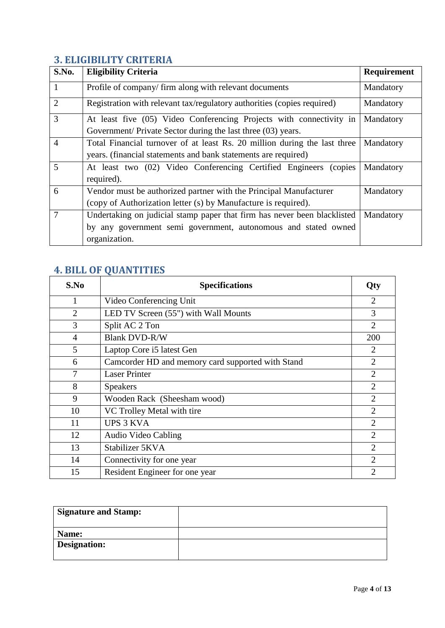#### **3. ELIGIBILITY CRITERIA**

| S.No.          | <b>Eligibility Criteria</b>                                               | <b>Requirement</b> |
|----------------|---------------------------------------------------------------------------|--------------------|
| $\mathbf{1}$   | Profile of company/firm along with relevant documents                     | Mandatory          |
| $\overline{2}$ | Registration with relevant tax/regulatory authorities (copies required)   | Mandatory          |
| 3              | At least five (05) Video Conferencing Projects with connectivity in       | Mandatory          |
|                | Government/ Private Sector during the last three (03) years.              |                    |
| $\overline{4}$ | Total Financial turnover of at least Rs. 20 million during the last three | Mandatory          |
|                | years. (financial statements and bank statements are required)            |                    |
| 5              | At least two (02) Video Conferencing Certified Engineers<br>(copies)      | Mandatory          |
|                | required).                                                                |                    |
| 6              | Vendor must be authorized partner with the Principal Manufacturer         | Mandatory          |
|                | (copy of Authorization letter (s) by Manufacture is required).            |                    |
| 7              | Undertaking on judicial stamp paper that firm has never been blacklisted  | Mandatory          |
|                | by any government semi government, autonomous and stated owned            |                    |
|                | organization.                                                             |                    |

# <span id="page-3-0"></span>**4. BILL OF QUANTITIES**

<span id="page-3-1"></span>

| S.No           | <b>Specifications</b>                             | <b>Qty</b>     |
|----------------|---------------------------------------------------|----------------|
| 1              | Video Conferencing Unit                           | $\overline{2}$ |
| $\overline{2}$ | LED TV Screen (55") with Wall Mounts              | 3              |
| 3              | Split AC 2 Ton                                    | $\overline{2}$ |
| $\overline{4}$ | <b>Blank DVD-R/W</b>                              | 200            |
| 5              | Laptop Core i5 latest Gen                         | $\overline{2}$ |
| 6              | Camcorder HD and memory card supported with Stand | $\overline{2}$ |
| 7              | <b>Laser Printer</b>                              | $\overline{2}$ |
| 8              | <b>Speakers</b>                                   | $\overline{2}$ |
| 9              | Wooden Rack (Sheesham wood)                       | $\overline{2}$ |
| 10             | VC Trolley Metal with tire                        | $\overline{2}$ |
| 11             | <b>UPS 3 KVA</b>                                  | $\overline{2}$ |
| 12             | Audio Video Cabling                               | $\overline{2}$ |
| 13             | Stabilizer 5KVA                                   | $\overline{2}$ |
| 14             | Connectivity for one year                         | $\overline{2}$ |
| 15             | Resident Engineer for one year                    | $\overline{2}$ |

| <b>Signature and Stamp:</b> |  |
|-----------------------------|--|
| Name:                       |  |
| <b>Designation:</b>         |  |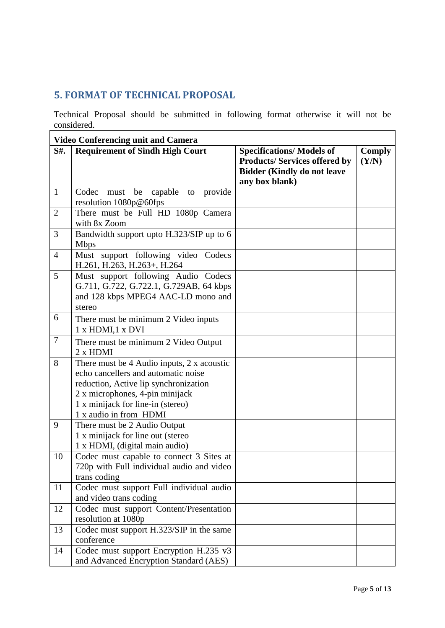#### **5. FORMAT OF TECHNICAL PROPOSAL**

Technical Proposal should be submitted in following format otherwise it will not be considered.

<span id="page-4-0"></span>

|                | <b>Video Conferencing unit and Camera</b>                                                                                                                                                                                    |                                                                                                                                 |                 |
|----------------|------------------------------------------------------------------------------------------------------------------------------------------------------------------------------------------------------------------------------|---------------------------------------------------------------------------------------------------------------------------------|-----------------|
| S#.            | <b>Requirement of Sindh High Court</b>                                                                                                                                                                                       | <b>Specifications/ Models of</b><br><b>Products/Services offered by</b><br><b>Bidder (Kindly do not leave</b><br>any box blank) | Comply<br>(Y/N) |
| $\mathbf{1}$   | be capable to<br>provide<br>Codec must<br>resolution 1080p@60fps                                                                                                                                                             |                                                                                                                                 |                 |
| $\overline{2}$ | There must be Full HD 1080p Camera<br>with 8x Zoom                                                                                                                                                                           |                                                                                                                                 |                 |
| 3              | Bandwidth support upto H.323/SIP up to 6<br><b>Mbps</b>                                                                                                                                                                      |                                                                                                                                 |                 |
| $\overline{4}$ | Must support following video Codecs<br>H.261, H.263, H.263+, H.264                                                                                                                                                           |                                                                                                                                 |                 |
| 5              | Must support following Audio Codecs<br>G.711, G.722, G.722.1, G.729AB, 64 kbps<br>and 128 kbps MPEG4 AAC-LD mono and<br>stereo                                                                                               |                                                                                                                                 |                 |
| 6              | There must be minimum 2 Video inputs<br>1 x HDMI, 1 x DVI                                                                                                                                                                    |                                                                                                                                 |                 |
| $\overline{7}$ | There must be minimum 2 Video Output<br>$2 \times H$ DMI                                                                                                                                                                     |                                                                                                                                 |                 |
| 8              | There must be 4 Audio inputs, 2 x acoustic<br>echo cancellers and automatic noise<br>reduction, Active lip synchronization<br>2 x microphones, 4-pin minijack<br>1 x minijack for line-in (stereo)<br>1 x audio in from HDMI |                                                                                                                                 |                 |
| 9              | There must be 2 Audio Output<br>1 x minijack for line out (stereo<br>1 x HDMI, (digital main audio)                                                                                                                          |                                                                                                                                 |                 |
| 10             | Codec must capable to connect 3 Sites at<br>720p with Full individual audio and video<br>trans coding                                                                                                                        |                                                                                                                                 |                 |
| 11             | Codec must support Full individual audio<br>and video trans coding                                                                                                                                                           |                                                                                                                                 |                 |
| 12             | Codec must support Content/Presentation<br>resolution at 1080p                                                                                                                                                               |                                                                                                                                 |                 |
| 13             | Codec must support H.323/SIP in the same<br>conference                                                                                                                                                                       |                                                                                                                                 |                 |
| 14             | Codec must support Encryption H.235 v3<br>and Advanced Encryption Standard (AES)                                                                                                                                             |                                                                                                                                 |                 |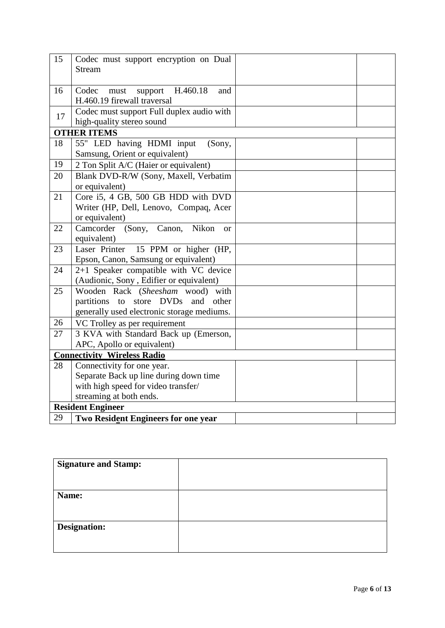| 15 | Codec must support encryption on Dual<br><b>Stream</b>         |  |
|----|----------------------------------------------------------------|--|
| 16 | H.460.18<br>Codec<br>support<br>must<br>and                    |  |
|    | H.460.19 firewall traversal                                    |  |
|    | Codec must support Full duplex audio with                      |  |
| 17 | high-quality stereo sound                                      |  |
|    | <b>OTHER ITEMS</b>                                             |  |
| 18 | 55" LED having HDMI input<br>(Sony,                            |  |
|    | Samsung, Orient or equivalent)                                 |  |
| 19 | 2 Ton Split A/C (Haier or equivalent)                          |  |
| 20 | Blank DVD-R/W (Sony, Maxell, Verbatim                          |  |
|    | or equivalent)                                                 |  |
| 21 | Core i5, 4 GB, 500 GB HDD with DVD                             |  |
|    | Writer (HP, Dell, Lenovo, Compaq, Acer                         |  |
|    | or equivalent)                                                 |  |
| 22 | Camcorder<br>(Sony, Canon,<br>Nikon<br><b>or</b>               |  |
|    | equivalent)                                                    |  |
| 23 | Laser Printer<br>15 PPM or higher (HP,                         |  |
|    | Epson, Canon, Samsung or equivalent)                           |  |
| 24 | 2+1 Speaker compatible with VC device                          |  |
|    | (Audionic, Sony, Edifier or equivalent)                        |  |
| 25 | Wooden Rack (Sheesham wood) with                               |  |
|    | partitions to<br>store DVDs<br>and<br>other                    |  |
|    | generally used electronic storage mediums.                     |  |
| 26 | VC Trolley as per requirement                                  |  |
| 27 | 3 KVA with Standard Back up (Emerson,                          |  |
|    | APC, Apollo or equivalent)                                     |  |
|    | <b>Connectivity Wireless Radio</b>                             |  |
| 28 | Connectivity for one year.                                     |  |
|    | Separate Back up line during down time                         |  |
|    | with high speed for video transfer/<br>streaming at both ends. |  |
|    | <b>Resident Engineer</b>                                       |  |
| 29 |                                                                |  |
|    | Two Resident Engineers for one year                            |  |

| <b>Signature and Stamp:</b> |  |
|-----------------------------|--|
|                             |  |
| Name:                       |  |
|                             |  |
|                             |  |
| <b>Designation:</b>         |  |
|                             |  |
|                             |  |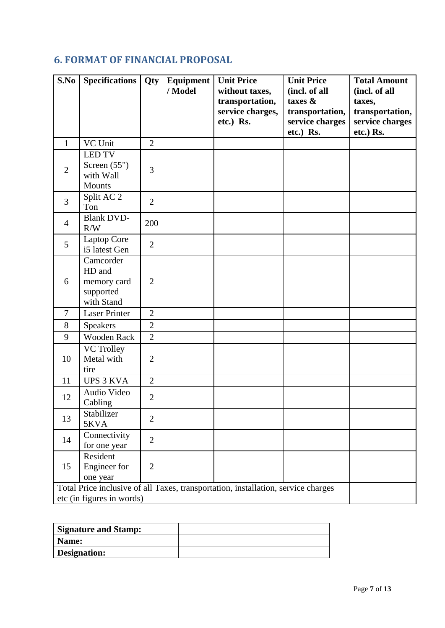# **6. FORMAT OF FINANCIAL PROPOSAL**

<span id="page-6-0"></span>

| S.No           | <b>Specifications</b>                                                             | Qty            | Equipment<br>/ Model | <b>Unit Price</b><br>without taxes,<br>transportation, | <b>Unit Price</b><br>(incl. of all<br>taxes &   | <b>Total Amount</b><br>(incl. of all<br>taxes,  |
|----------------|-----------------------------------------------------------------------------------|----------------|----------------------|--------------------------------------------------------|-------------------------------------------------|-------------------------------------------------|
|                |                                                                                   |                |                      | service charges,<br>etc.) Rs.                          | transportation,<br>service charges<br>etc.) Rs. | transportation,<br>service charges<br>etc.) Rs. |
| $\mathbf{1}$   | VC Unit                                                                           | $\overline{2}$ |                      |                                                        |                                                 |                                                 |
|                | <b>LED TV</b>                                                                     |                |                      |                                                        |                                                 |                                                 |
| $\overline{2}$ | Screen $(55")$<br>with Wall                                                       | 3              |                      |                                                        |                                                 |                                                 |
|                | <b>Mounts</b>                                                                     |                |                      |                                                        |                                                 |                                                 |
| $\overline{3}$ | Split AC $2$<br>Ton                                                               | $\overline{2}$ |                      |                                                        |                                                 |                                                 |
| $\overline{4}$ | <b>Blank DVD-</b><br>R/W                                                          | 200            |                      |                                                        |                                                 |                                                 |
| 5              | Laptop Core<br>i5 latest Gen                                                      | $\overline{2}$ |                      |                                                        |                                                 |                                                 |
| 6              | Camcorder<br>HD and<br>memory card<br>supported<br>with Stand                     | $\overline{2}$ |                      |                                                        |                                                 |                                                 |
| $\overline{7}$ | <b>Laser Printer</b>                                                              | $\overline{2}$ |                      |                                                        |                                                 |                                                 |
| 8              | <b>Speakers</b>                                                                   | $\overline{2}$ |                      |                                                        |                                                 |                                                 |
| 9              | <b>Wooden Rack</b>                                                                | $\overline{2}$ |                      |                                                        |                                                 |                                                 |
| 10             | <b>VC Trolley</b><br>Metal with<br>tire                                           | $\overline{2}$ |                      |                                                        |                                                 |                                                 |
| 11             | <b>UPS 3 KVA</b>                                                                  | $\overline{2}$ |                      |                                                        |                                                 |                                                 |
| 12             | Audio Video<br>Cabling                                                            | $\overline{2}$ |                      |                                                        |                                                 |                                                 |
| 13             | Stabilizer<br>5KVA                                                                | $\overline{2}$ |                      |                                                        |                                                 |                                                 |
| 14             | Connectivity<br>for one year                                                      | $\overline{2}$ |                      |                                                        |                                                 |                                                 |
| 15             | Resident<br>Engineer for<br>one year                                              | $\overline{2}$ |                      |                                                        |                                                 |                                                 |
|                | Total Price inclusive of all Taxes, transportation, installation, service charges |                |                      |                                                        |                                                 |                                                 |
|                | etc (in figures in words)                                                         |                |                      |                                                        |                                                 |                                                 |

| <b>Signature and Stamp:</b> |  |
|-----------------------------|--|
| Name:                       |  |
| Designation:                |  |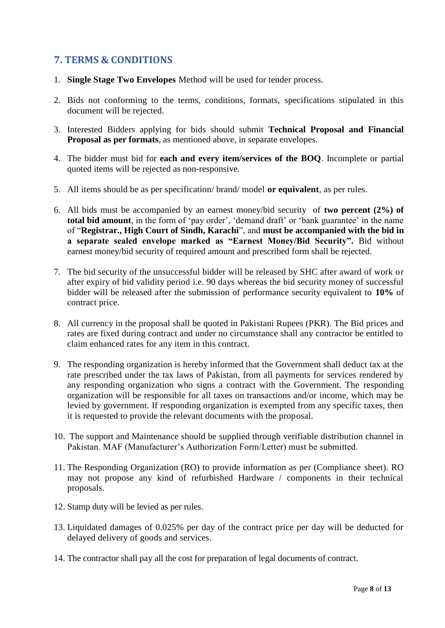#### **7. TERMS & CONDITIONS**

- 1. **Single Stage Two Envelopes** Method will be used for tender process.
- 2. Bids not conforming to the terms, conditions, formats, specifications stipulated in this document will be rejected.
- 3. Interested Bidders applying for bids should submit **Technical Proposal and Financial Proposal as per formats**, as mentioned above, in separate envelopes.
- 4. The bidder must bid for **each and every item/services of the BOQ**. Incomplete or partial quoted items will be rejected as non-responsive.
- <span id="page-7-0"></span>5. All items should be as per specification/ brand/ model **or equivalent**, as per rules.
- 6. All bids must be accompanied by an earnest money/bid security of **two percent (2%) of total bid amount**, in the form of 'pay order', 'demand draft' or 'bank guarantee' in the name of "**Registrar., High Court of Sindh, Karachi**", and **must be accompanied with the bid in a separate sealed envelope marked as "Earnest Money/Bid Security".** Bid without earnest money/bid security of required amount and prescribed form shall be rejected.
- 7. The bid security of the unsuccessful bidder will be released by SHC after award of work or after expiry of bid validity period i.e. 90 days whereas the bid security money of successful bidder will be released after the submission of performance security equivalent to **10%** of contract price.
- 8. All currency in the proposal shall be quoted in Pakistani Rupees (PKR). The Bid prices and rates are fixed during contract and under no circumstance shall any contractor be entitled to claim enhanced rates for any item in this contract.
- 9. The responding organization is hereby informed that the Government shall deduct tax at the rate prescribed under the tax laws of Pakistan, from all payments for services rendered by any responding organization who signs a contract with the Government. The responding organization will be responsible for all taxes on transactions and/or income, which may be levied by government. If responding organization is exempted from any specific taxes, then it is requested to provide the relevant documents with the proposal.
- 10. The support and Maintenance should be supplied through verifiable distribution channel in Pakistan. MAF (Manufacturer's Authorization Form/Letter) must be submitted.
- 11. The Responding Organization (RO) to provide information as per (Compliance sheet). RO may not propose any kind of refurbished Hardware / components in their technical proposals.
- 12. Stamp duty will be levied as per rules.
- 13. Liquidated damages of 0.025% per day of the contract price per day will be deducted for delayed delivery of goods and services.
- 14. The contractor shall pay all the cost for preparation of legal documents of contract.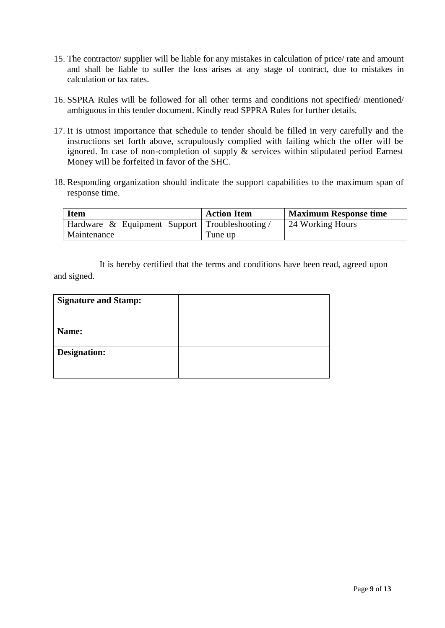- 15. The contractor/ supplier will be liable for any mistakes in calculation of price/ rate and amount and shall be liable to suffer the loss arises at any stage of contract, due to mistakes in calculation or tax rates.
- 16. SSPRA Rules will be followed for all other terms and conditions not specified/ mentioned/ ambiguous in this tender document. Kindly read SPPRA Rules for further details.
- 17. It is utmost importance that schedule to tender should be filled in very carefully and the instructions set forth above, scrupulously complied with failing which the offer will be ignored. In case of non-completion of supply & services within stipulated period Earnest Money will be forfeited in favor of the SHC.
- 18. Responding organization should indicate the support capabilities to the maximum span of response time.

| <b>Item</b>                                    | <b>Action Item</b> | <b>Maximum Response time</b> |
|------------------------------------------------|--------------------|------------------------------|
| Hardware & Equipment Support Troubleshooting / |                    | 24 Working Hours             |
| Maintenance                                    | Tune up            |                              |

It is hereby certified that the terms and conditions have been read, agreed upon and signed.

| <b>Signature and Stamp:</b> |  |
|-----------------------------|--|
|                             |  |
| Name:                       |  |
| Designation:                |  |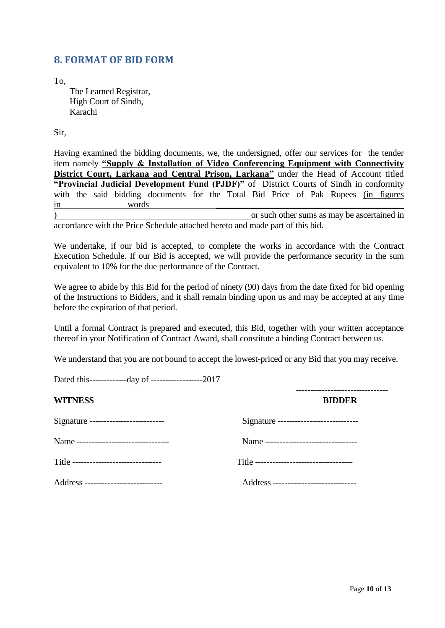#### **8. FORMAT OF BID FORM**

To,

The Learned Registrar, High Court of Sindh, Karachi

Sir,

<span id="page-9-0"></span>Having examined the bidding documents, we, the undersigned, offer our services for the tender item namely **"Supply & Installation of Video Conferencing Equipment with Connectivity District Court, Larkana and Central Prison, Larkana"** under the Head of Account titled **"Provincial Judicial Development Fund (PJDF)"** of District Courts of Sindh in conformity with the said bidding documents for the Total Bid Price of Pak Rupees (in figures in words \_\_\_\_\_\_\_\_\_\_\_\_\_\_\_\_\_\_\_\_\_\_\_\_\_\_\_\_\_\_\_\_\_\_\_\_\_\_\_\_\_\_\_ ) or such other sums as may be ascertained in

accordance with the Price Schedule attached hereto and made part of this bid.

We undertake, if our bid is accepted, to complete the works in accordance with the Contract Execution Schedule. If our Bid is accepted, we will provide the performance security in the sum equivalent to 10% for the due performance of the Contract.

We agree to abide by this Bid for the period of ninety (90) days from the date fixed for bid opening of the Instructions to Bidders, and it shall remain binding upon us and may be accepted at any time before the expiration of that period.

Until a formal Contract is prepared and executed, this Bid, together with your written acceptance thereof in your Notification of Contract Award, shall constitute a binding Contract between us.

We understand that you are not bound to accept the lowest-priced or any Bid that you may receive.

Dated this-------------day of ------------------2017

| <b>WITNESS</b>                         | <b>BIDDER</b>                            |
|----------------------------------------|------------------------------------------|
| Signature --------------------------   | Signature ------------------------------ |
| Name --------------------------------  | Name ---------------------------------   |
| Title -------------------------------- |                                          |
| Address ---------------------------    | Address -----------------------------    |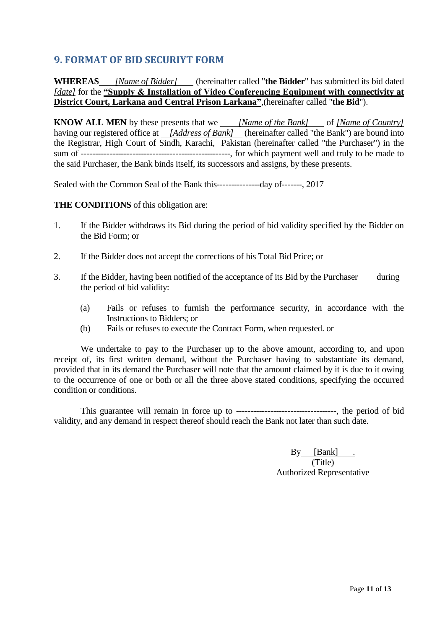#### **9. FORMAT OF BID SECURIYT FORM**

**WHEREAS** *[Name of Bidder]* (hereinafter called "**the Bidder**" has submitted its bid dated *[date]* for the **"Supply & Installation of Video Conferencing Equipment with connectivity at District Court, Larkana and Central Prison Larkana"**,(hereinafter called "**the Bid**").

**KNOW ALL MEN** by these presents that we *<i>[Name of the Bank]* of *[Name of Country]* having our registered office at *[Address of Bank]* (hereinafter called "the Bank") are bound into the Registrar, High Court of Sindh, Karachi, Pakistan (hereinafter called "the Purchaser") in the sum of ----------------------------------------------------, for which payment well and truly to be made to the said Purchaser, the Bank binds itself, its successors and assigns, by these presents.

<span id="page-10-0"></span>Sealed with the Common Seal of the Bank this---------------day of-------, 2017

#### **THE CONDITIONS** of this obligation are:

- 1. If the Bidder withdraws its Bid during the period of bid validity specified by the Bidder on the Bid Form; or
- 2. If the Bidder does not accept the corrections of his Total Bid Price; or
- 3. If the Bidder, having been notified of the acceptance of its Bid by the Purchaser during the period of bid validity:
	- (a) Fails or refuses to furnish the performance security, in accordance with the Instructions to Bidders; or
	- (b) Fails or refuses to execute the Contract Form, when requested. or

We undertake to pay to the Purchaser up to the above amount, according to, and upon receipt of, its first written demand, without the Purchaser having to substantiate its demand, provided that in its demand the Purchaser will note that the amount claimed by it is due to it owing to the occurrence of one or both or all the three above stated conditions, specifying the occurred condition or conditions.

This guarantee will remain in force up to -----------------------------------, the period of bid validity, and any demand in respect thereof should reach the Bank not later than such date.

> By [Bank] . (Title) Authorized Representative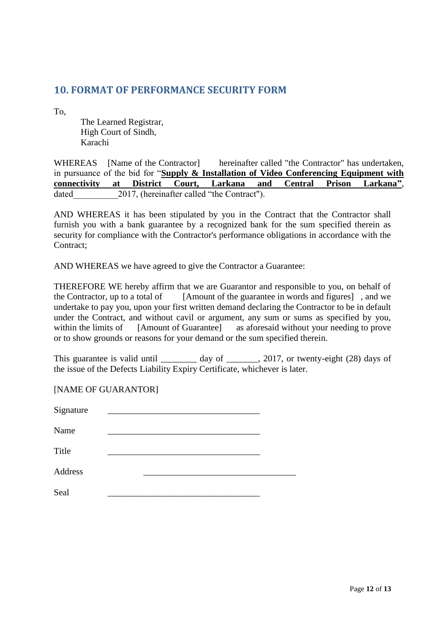#### **10. FORMAT OF PERFORMANCE SECURITY FORM**

To,

The Learned Registrar, High Court of Sindh, Karachi

WHEREAS [Name of the Contractor] hereinafter called "the Contractor" has undertaken, in pursuance of the bid for "**Supply & Installation of Video Conferencing Equipment with connectivity at District Court, Larkana and Central Prison Larkana"**, dated 2017, (hereinafter called "the Contract").

<span id="page-11-0"></span>AND WHEREAS it has been stipulated by you in the Contract that the Contractor shall furnish you with a bank guarantee by a recognized bank for the sum specified therein as security for compliance with the Contractor's performance obligations in accordance with the Contract;

AND WHEREAS we have agreed to give the Contractor a Guarantee:

THEREFORE WE hereby affirm that we are Guarantor and responsible to you, on behalf of the Contractor, up to a total of [Amount of the guarantee in words and figures], and we undertake to pay you, upon your first written demand declaring the Contractor to be in default under the Contract, and without cavil or argument, any sum or sums as specified by you, within the limits of [Amount of Guarantee] as aforesaid without your needing to prove or to show grounds or reasons for your demand or the sum specified therein.

This guarantee is valid until  $\frac{day}{dx}$  of  $\frac{2017}{x}$ , or twenty-eight (28) days of the issue of the Defects Liability Expiry Certificate, whichever is later.

[NAME OF GUARANTOR]

| Signature |  |  |
|-----------|--|--|
| Name      |  |  |
| Title     |  |  |
| Address   |  |  |
| Seal      |  |  |